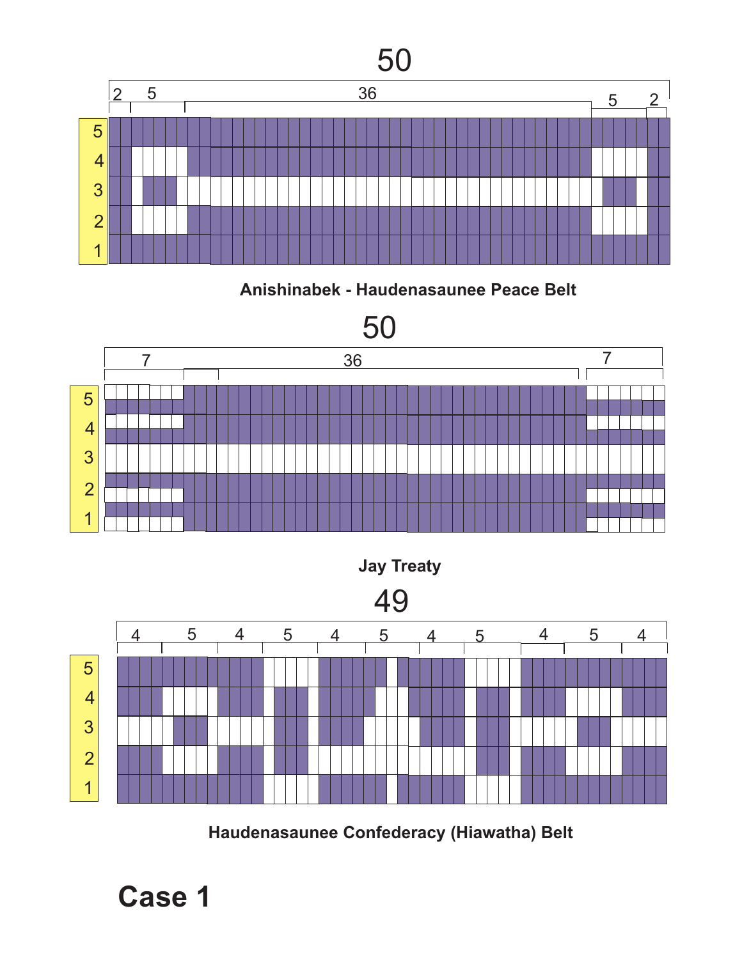

**Anishinabek - Haudenasaunee Peace Belt**





**Haudenasaunee Confederacy (Hiawatha) Belt**

**Case 1**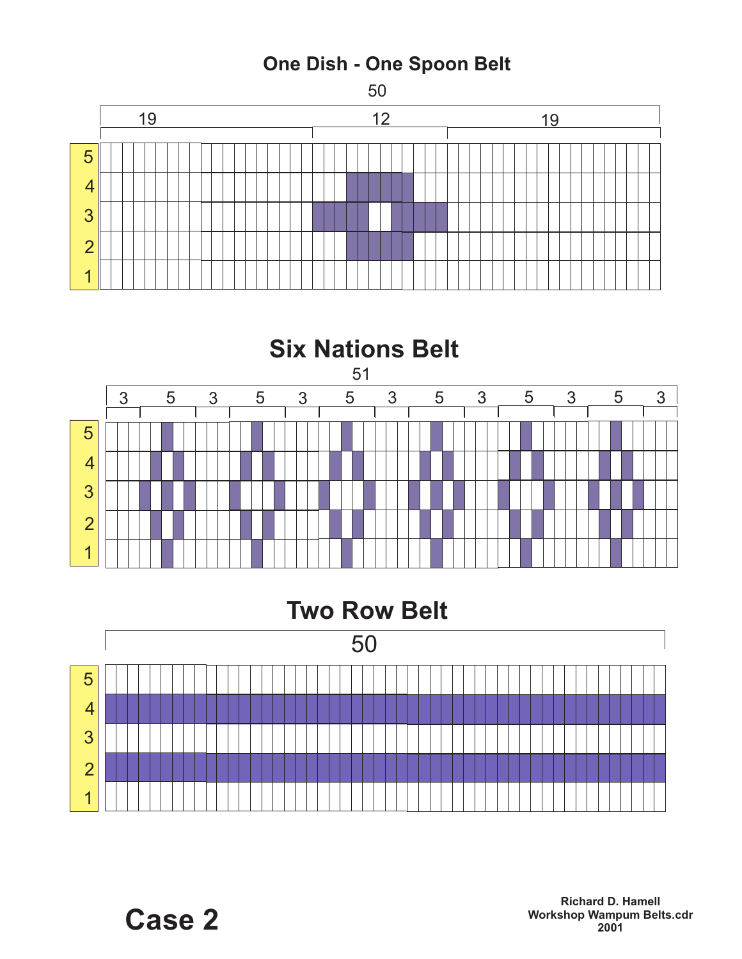



## **Two Row Belt**

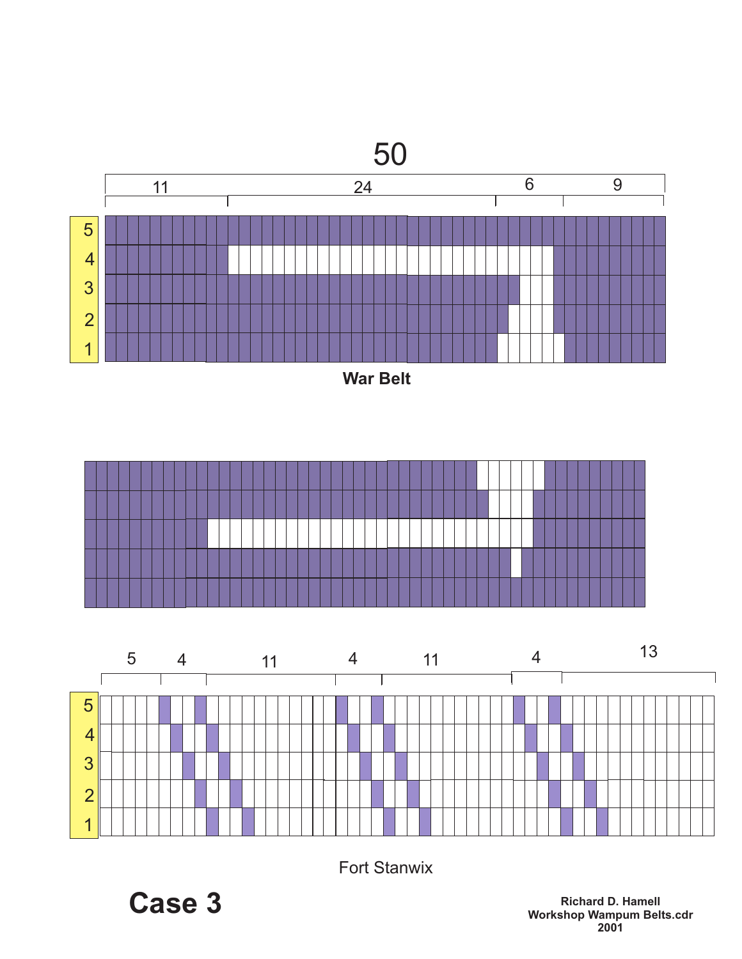







Fort Stanwix

**Case 3**

**Richard D. Hamell Workshop Wampum Belts.cdr**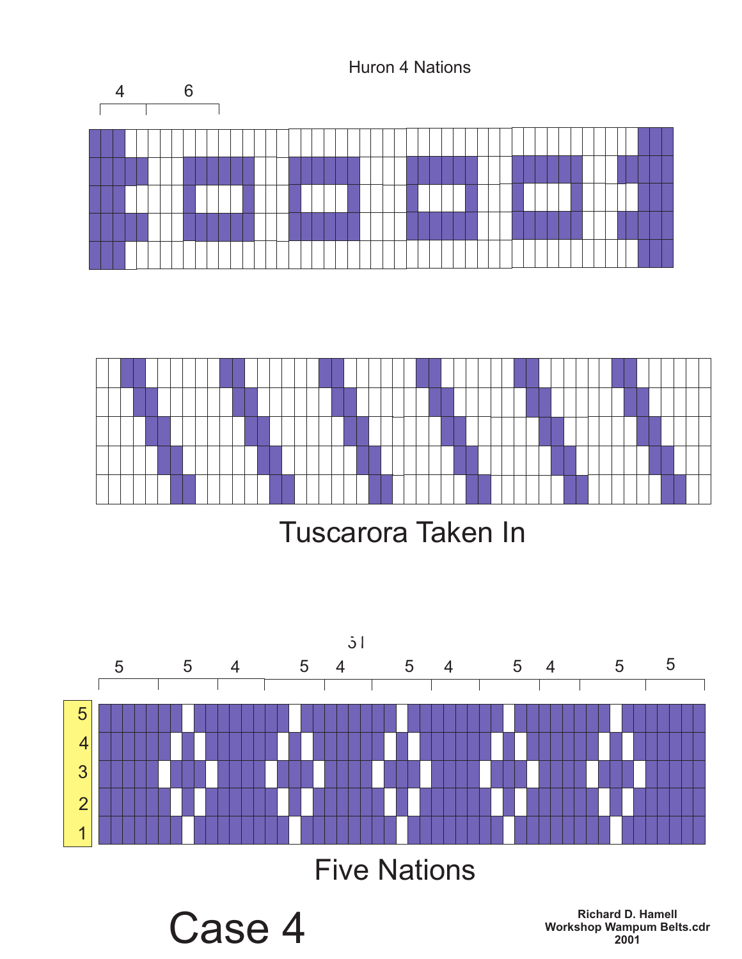



Tuscarora Taken In